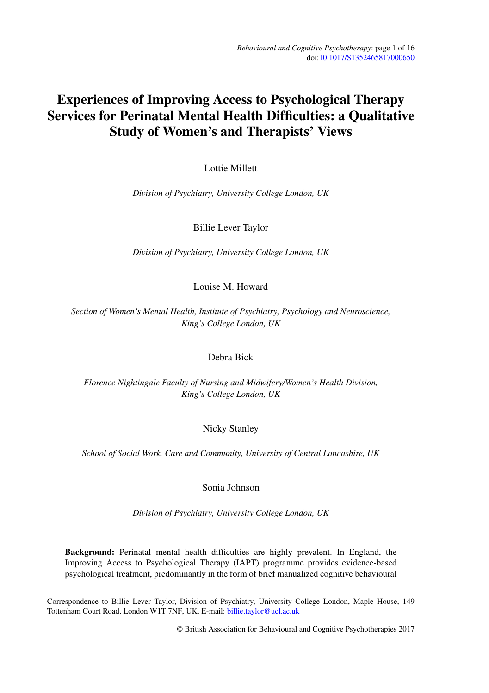# **Experiences of Improving Access to Psychological Therapy Services for Perinatal Mental Health Difficulties: a Qualitative Study of Women's and Therapists' Views**

Lottie Millett

*Division of Psychiatry, University College London, UK*

Billie Lever Taylor

*Division of Psychiatry, University College London, UK*

Louise M. Howard

*Section of Women's Mental Health, Institute of Psychiatry, Psychology and Neuroscience, King's College London, UK*

# Debra Bick

*Florence Nightingale Faculty of Nursing and Midwifery/Women's Health Division, King's College London, UK*

# Nicky Stanley

*School of Social Work, Care and Community, University of Central Lancashire, UK*

# Sonia Johnson

*Division of Psychiatry, University College London, UK*

**Background:** Perinatal mental health difficulties are highly prevalent. In England, the Improving Access to Psychological Therapy (IAPT) programme provides evidence-based psychological treatment, predominantly in the form of brief manualized cognitive behavioural

Correspondence to Billie Lever Taylor, Division of Psychiatry, University College London, Maple House, 149 Tottenham Court Road, London W1T 7NF, UK. E-mail: [billie.taylor@ucl.ac.uk](mailto:billie.taylor@ucl.ac.uk)

© British Association for Behavioural and Cognitive Psychotherapies 2017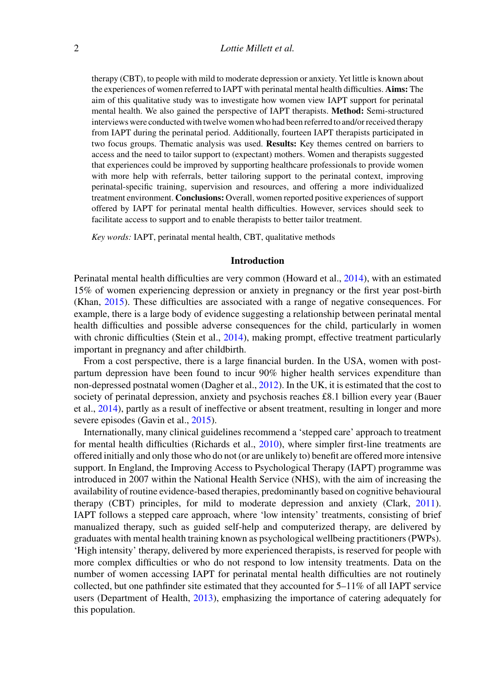therapy (CBT), to people with mild to moderate depression or anxiety. Yet little is known about the experiences of women referred to IAPT with perinatal mental health difficulties. **Aims:** The aim of this qualitative study was to investigate how women view IAPT support for perinatal mental health. We also gained the perspective of IAPT therapists. **Method:** Semi-structured interviews were conducted with twelve women who had been referred to and/or received therapy from IAPT during the perinatal period. Additionally, fourteen IAPT therapists participated in two focus groups. Thematic analysis was used. **Results:** Key themes centred on barriers to access and the need to tailor support to (expectant) mothers. Women and therapists suggested that experiences could be improved by supporting healthcare professionals to provide women with more help with referrals, better tailoring support to the perinatal context, improving perinatal-specific training, supervision and resources, and offering a more individualized treatment environment. **Conclusions:** Overall, women reported positive experiences of support offered by IAPT for perinatal mental health difficulties. However, services should seek to facilitate access to support and to enable therapists to better tailor treatment.

*Key words:* IAPT, perinatal mental health, CBT, qualitative methods

### **Introduction**

Perinatal mental health difficulties are very common (Howard et al., [2014\)](#page-14-0), with an estimated 15% of women experiencing depression or anxiety in pregnancy or the first year post-birth (Khan, [2015\)](#page-14-0). These difficulties are associated with a range of negative consequences. For example, there is a large body of evidence suggesting a relationship between perinatal mental health difficulties and possible adverse consequences for the child, particularly in women with chronic difficulties (Stein et al., [2014\)](#page-15-0), making prompt, effective treatment particularly important in pregnancy and after childbirth.

From a cost perspective, there is a large financial burden. In the USA, women with postpartum depression have been found to incur 90% higher health services expenditure than non-depressed postnatal women (Dagher et al., [2012\)](#page-14-0). In the UK, it is estimated that the cost to society of perinatal depression, anxiety and psychosis reaches £8.1 billion every year (Bauer et al., [2014\)](#page-13-0), partly as a result of ineffective or absent treatment, resulting in longer and more severe episodes (Gavin et al., [2015\)](#page-14-0).

Internationally, many clinical guidelines recommend a 'stepped care' approach to treatment for mental health difficulties (Richards et al., [2010\)](#page-15-0), where simpler first-line treatments are offered initially and only those who do not (or are unlikely to) benefit are offered more intensive support. In England, the Improving Access to Psychological Therapy (IAPT) programme was introduced in 2007 within the National Health Service (NHS), with the aim of increasing the availability of routine evidence-based therapies, predominantly based on cognitive behavioural therapy (CBT) principles, for mild to moderate depression and anxiety (Clark, [2011\)](#page-14-0). IAPT follows a stepped care approach, where 'low intensity' treatments, consisting of brief manualized therapy, such as guided self-help and computerized therapy, are delivered by graduates with mental health training known as psychological wellbeing practitioners (PWPs). 'High intensity' therapy, delivered by more experienced therapists, is reserved for people with more complex difficulties or who do not respond to low intensity treatments. Data on the number of women accessing IAPT for perinatal mental health difficulties are not routinely collected, but one pathfinder site estimated that they accounted for 5–11% of all IAPT service users (Department of Health, [2013\)](#page-14-0), emphasizing the importance of catering adequately for this population.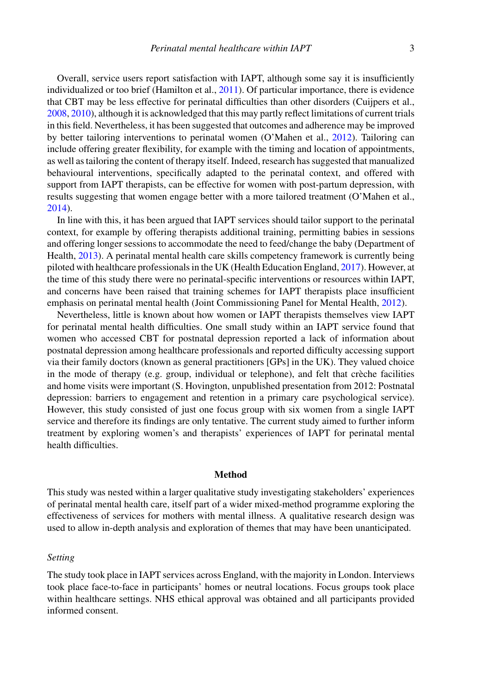Overall, service users report satisfaction with IAPT, although some say it is insufficiently individualized or too brief (Hamilton et al., [2011\)](#page-14-0). Of particular importance, there is evidence that CBT may be less effective for perinatal difficulties than other disorders (Cuijpers et al., [2008,](#page-14-0) [2010\)](#page-14-0), although it is acknowledged that this may partly reflect limitations of current trials in this field. Nevertheless, it has been suggested that outcomes and adherence may be improved by better tailoring interventions to perinatal women (O'Mahen et al., [2012\)](#page-15-0). Tailoring can include offering greater flexibility, for example with the timing and location of appointments, as well as tailoring the content of therapy itself. Indeed, research has suggested that manualized behavioural interventions, specifically adapted to the perinatal context, and offered with support from IAPT therapists, can be effective for women with post-partum depression, with results suggesting that women engage better with a more tailored treatment (O'Mahen et al., [2014\)](#page-15-0).

In line with this, it has been argued that IAPT services should tailor support to the perinatal context, for example by offering therapists additional training, permitting babies in sessions and offering longer sessions to accommodate the need to feed/change the baby (Department of Health, [2013\)](#page-14-0). A perinatal mental health care skills competency framework is currently being piloted with healthcare professionals in the UK (Health Education England, [2017\)](#page-14-0). However, at the time of this study there were no perinatal-specific interventions or resources within IAPT, and concerns have been raised that training schemes for IAPT therapists place insufficient emphasis on perinatal mental health (Joint Commissioning Panel for Mental Health, [2012\)](#page-14-0).

Nevertheless, little is known about how women or IAPT therapists themselves view IAPT for perinatal mental health difficulties. One small study within an IAPT service found that women who accessed CBT for postnatal depression reported a lack of information about postnatal depression among healthcare professionals and reported difficulty accessing support via their family doctors (known as general practitioners [GPs] in the UK). They valued choice in the mode of therapy (e.g. group, individual or telephone), and felt that crèche facilities and home visits were important (S. Hovington, unpublished presentation from 2012: Postnatal depression: barriers to engagement and retention in a primary care psychological service). However, this study consisted of just one focus group with six women from a single IAPT service and therefore its findings are only tentative. The current study aimed to further inform treatment by exploring women's and therapists' experiences of IAPT for perinatal mental health difficulties.

### **Method**

This study was nested within a larger qualitative study investigating stakeholders' experiences of perinatal mental health care, itself part of a wider mixed-method programme exploring the effectiveness of services for mothers with mental illness. A qualitative research design was used to allow in-depth analysis and exploration of themes that may have been unanticipated.

#### *Setting*

The study took place in IAPT services across England, with the majority in London. Interviews took place face-to-face in participants' homes or neutral locations. Focus groups took place within healthcare settings. NHS ethical approval was obtained and all participants provided informed consent.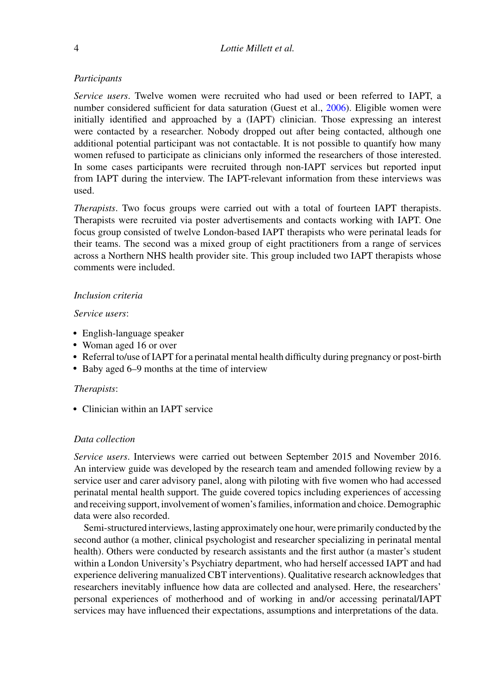# *Participants*

*Service users*. Twelve women were recruited who had used or been referred to IAPT, a number considered sufficient for data saturation (Guest et al., [2006\)](#page-14-0). Eligible women were initially identified and approached by a (IAPT) clinician. Those expressing an interest were contacted by a researcher. Nobody dropped out after being contacted, although one additional potential participant was not contactable. It is not possible to quantify how many women refused to participate as clinicians only informed the researchers of those interested. In some cases participants were recruited through non-IAPT services but reported input from IAPT during the interview. The IAPT-relevant information from these interviews was used.

*Therapists*. Two focus groups were carried out with a total of fourteen IAPT therapists. Therapists were recruited via poster advertisements and contacts working with IAPT. One focus group consisted of twelve London-based IAPT therapists who were perinatal leads for their teams. The second was a mixed group of eight practitioners from a range of services across a Northern NHS health provider site. This group included two IAPT therapists whose comments were included.

# *Inclusion criteria*

# *Service users*:

- English-language speaker
- Woman aged 16 or over
- Referral to/use of IAPT for a perinatal mental health difficulty during pregnancy or post-birth
- Baby aged 6–9 months at the time of interview

# *Therapists*:

- Clinician within an IAPT service

# *Data collection*

*Service users*. Interviews were carried out between September 2015 and November 2016. An interview guide was developed by the research team and amended following review by a service user and carer advisory panel, along with piloting with five women who had accessed perinatal mental health support. The guide covered topics including experiences of accessing and receiving support, involvement of women's families, information and choice. Demographic data were also recorded.

Semi-structured interviews, lasting approximately one hour, were primarily conducted by the second author (a mother, clinical psychologist and researcher specializing in perinatal mental health). Others were conducted by research assistants and the first author (a master's student within a London University's Psychiatry department, who had herself accessed IAPT and had experience delivering manualized CBT interventions). Qualitative research acknowledges that researchers inevitably influence how data are collected and analysed. Here, the researchers' personal experiences of motherhood and of working in and/or accessing perinatal/IAPT services may have influenced their expectations, assumptions and interpretations of the data.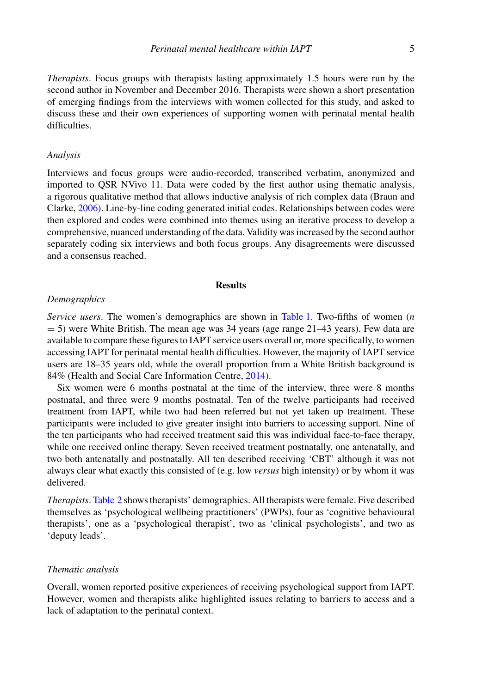*Therapists*. Focus groups with therapists lasting approximately 1.5 hours were run by the second author in November and December 2016. Therapists were shown a short presentation of emerging findings from the interviews with women collected for this study, and asked to discuss these and their own experiences of supporting women with perinatal mental health difficulties.

# *Analysis*

Interviews and focus groups were audio-recorded, transcribed verbatim, anonymized and imported to QSR NVivo 11. Data were coded by the first author using thematic analysis, a rigorous qualitative method that allows inductive analysis of rich complex data (Braun and Clarke, [2006\)](#page-14-0). Line-by-line coding generated initial codes. Relationships between codes were then explored and codes were combined into themes using an iterative process to develop a comprehensive, nuanced understanding of the data. Validity was increased by the second author separately coding six interviews and both focus groups. Any disagreements were discussed and a consensus reached.

### **Results**

### *Demographics*

*Service users*. The women's demographics are shown in [Table 1.](#page-5-0) Two-fifths of women (*n*  $= 5$ ) were White British. The mean age was 34 years (age range 21–43 years). Few data are available to compare these figures to IAPT service users overall or, more specifically, to women accessing IAPT for perinatal mental health difficulties. However, the majority of IAPT service users are 18–35 years old, while the overall proportion from a White British background is 84% (Health and Social Care Information Centre, [2014\)](#page-14-0).

Six women were 6 months postnatal at the time of the interview, three were 8 months postnatal, and three were 9 months postnatal. Ten of the twelve participants had received treatment from IAPT, while two had been referred but not yet taken up treatment. These participants were included to give greater insight into barriers to accessing support. Nine of the ten participants who had received treatment said this was individual face-to-face therapy, while one received online therapy. Seven received treatment postnatally, one antenatally, and two both antenatally and postnatally. All ten described receiving 'CBT' although it was not always clear what exactly this consisted of (e.g. low *versus* high intensity) or by whom it was delivered.

*Therapists*. [Table 2](#page-6-0) shows therapists' demographics. All therapists were female. Five described themselves as 'psychological wellbeing practitioners' (PWPs), four as 'cognitive behavioural therapists', one as a 'psychological therapist', two as 'clinical psychologists', and two as 'deputy leads'.

# *Thematic analysis*

Overall, women reported positive experiences of receiving psychological support from IAPT. However, women and therapists alike highlighted issues relating to barriers to access and a lack of adaptation to the perinatal context.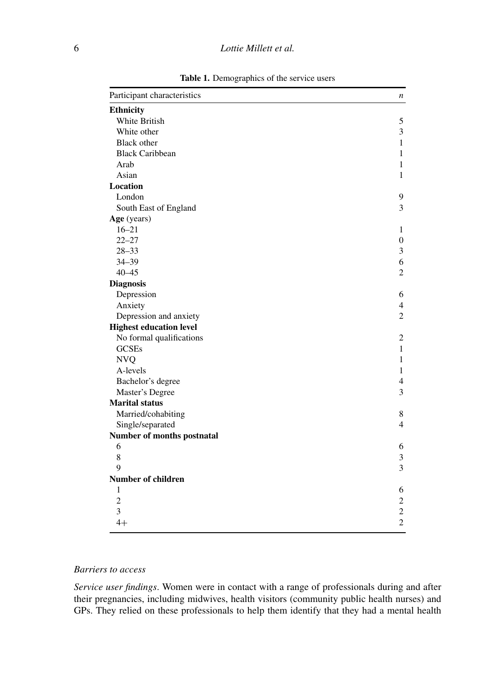<span id="page-5-0"></span>

| Participant characteristics    | n                |
|--------------------------------|------------------|
| <b>Ethnicity</b>               |                  |
| White British                  | 5                |
| White other                    | 3                |
| <b>Black</b> other             | $\mathbf{1}$     |
| <b>Black Caribbean</b>         | $\mathbf{1}$     |
| Arab                           | $\mathbf{1}$     |
| Asian                          | $\mathbf{1}$     |
| Location                       |                  |
| London                         | 9                |
| South East of England          | 3                |
| Age (years)                    |                  |
| $16 - 21$                      | 1                |
| $22 - 27$                      | $\boldsymbol{0}$ |
| $28 - 33$                      | 3                |
| $34 - 39$                      | 6                |
| $40 - 45$                      | $\overline{c}$   |
| <b>Diagnosis</b>               |                  |
| Depression                     | 6                |
| Anxiety                        | $\overline{4}$   |
| Depression and anxiety         | $\overline{c}$   |
| <b>Highest education level</b> |                  |
| No formal qualifications       | 2                |
| <b>GCSEs</b>                   | $\mathbf{1}$     |
| <b>NVQ</b>                     | 1                |
| A-levels                       | $\mathbf{1}$     |
| Bachelor's degree              | 4                |
| Master's Degree                | 3                |
| <b>Marital</b> status          |                  |
| Married/cohabiting             | 8                |
| Single/separated               | $\overline{4}$   |
| Number of months postnatal     |                  |
| 6                              | 6                |
| 8                              | 3                |
| 9                              | 3                |
| Number of children             |                  |
| 1                              | 6                |
| $\overline{c}$                 | $\overline{c}$   |
| 3                              | $\overline{c}$   |
| $4+$                           | $\overline{c}$   |

**Table 1.** Demographics of the service users

# *Barriers to access*

*Service user findings*. Women were in contact with a range of professionals during and after their pregnancies, including midwives, health visitors (community public health nurses) and GPs. They relied on these professionals to help them identify that they had a mental health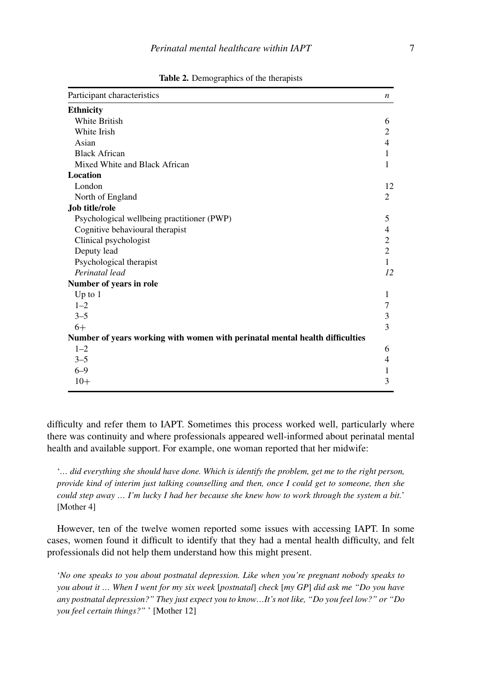<span id="page-6-0"></span>

| Participant characteristics                                                  | n              |
|------------------------------------------------------------------------------|----------------|
| <b>Ethnicity</b>                                                             |                |
| White British                                                                | 6              |
| White Irish                                                                  | 2              |
| Asian                                                                        | $\overline{4}$ |
| <b>Black African</b>                                                         | 1              |
| Mixed White and Black African                                                | 1              |
| <b>Location</b>                                                              |                |
| London                                                                       | 12             |
| North of England                                                             | 2              |
| Job title/role                                                               |                |
| Psychological wellbeing practitioner (PWP)                                   | 5              |
| Cognitive behavioural therapist                                              | 4              |
| Clinical psychologist                                                        | 2              |
| Deputy lead                                                                  | $\overline{c}$ |
| Psychological therapist                                                      | 1              |
| Perinatal lead                                                               | 12             |
| Number of years in role                                                      |                |
| Up to $1$                                                                    | 1              |
| $1 - 2$                                                                      | 7              |
| $3 - 5$                                                                      | 3              |
| $6+$                                                                         | 3              |
| Number of years working with women with perinatal mental health difficulties |                |
| $1 - 2$                                                                      | 6              |
| $3 - 5$                                                                      | 4              |
| $6 - 9$                                                                      | 1              |
| $10+$                                                                        | 3              |

**Table 2.** Demographics of the therapists

difficulty and refer them to IAPT. Sometimes this process worked well, particularly where there was continuity and where professionals appeared well-informed about perinatal mental health and available support. For example, one woman reported that her midwife:

'*… did everything she should have done. Which is identify the problem, get me to the right person, provide kind of interim just talking counselling and then, once I could get to someone, then she could step away … I'm lucky I had her because she knew how to work through the system a bit.*' [Mother 4]

However, ten of the twelve women reported some issues with accessing IAPT. In some cases, women found it difficult to identify that they had a mental health difficulty, and felt professionals did not help them understand how this might present.

'*No one speaks to you about postnatal depression. Like when you're pregnant nobody speaks to you about it … When I went for my six week* [*postnatal*] *check* [*my GP*] *did ask me "Do you have any postnatal depression?" They just expect you to know…It's not like, "Do you feel low?" or "Do you feel certain things?"* ' [Mother 12]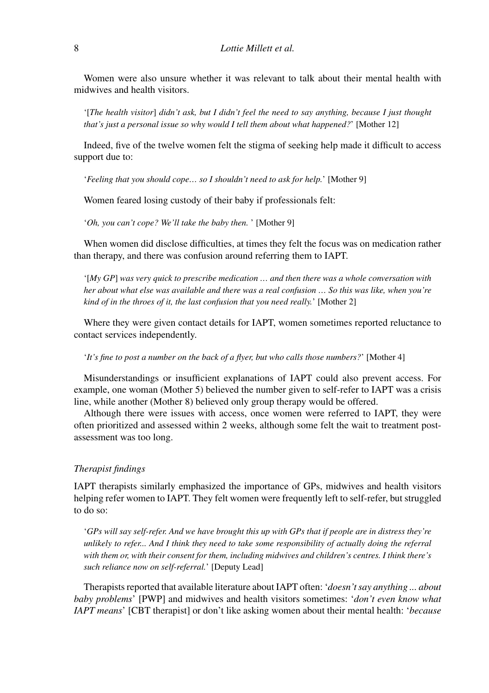Women were also unsure whether it was relevant to talk about their mental health with midwives and health visitors.

'[*The health visitor*] *didn't ask, but I didn't feel the need to say anything, because I just thought that's just a personal issue so why would I tell them about what happened?*' [Mother 12]

Indeed, five of the twelve women felt the stigma of seeking help made it difficult to access support due to:

'*Feeling that you should cope… so I shouldn't need to ask for help.*' [Mother 9]

Women feared losing custody of their baby if professionals felt:

'*Oh, you can't cope? We'll take the baby then.* ' [Mother 9]

When women did disclose difficulties, at times they felt the focus was on medication rather than therapy, and there was confusion around referring them to IAPT.

'[*My GP*] *was very quick to prescribe medication … and then there was a whole conversation with her about what else was available and there was a real confusion … So this was like, when you're kind of in the throes of it, the last confusion that you need really.*' [Mother 2]

Where they were given contact details for IAPT, women sometimes reported reluctance to contact services independently.

'*It's fine to post a number on the back of a flyer, but who calls those numbers?*' [Mother 4]

Misunderstandings or insufficient explanations of IAPT could also prevent access. For example, one woman (Mother 5) believed the number given to self-refer to IAPT was a crisis line, while another (Mother 8) believed only group therapy would be offered.

Although there were issues with access, once women were referred to IAPT, they were often prioritized and assessed within 2 weeks, although some felt the wait to treatment postassessment was too long.

### *Therapist findings*

IAPT therapists similarly emphasized the importance of GPs, midwives and health visitors helping refer women to IAPT. They felt women were frequently left to self-refer, but struggled to do so:

'*GPs will say self-refer. And we have brought this up with GPs that if people are in distress they're unlikely to refer... And I think they need to take some responsibility of actually doing the referral with them or, with their consent for them, including midwives and children's centres. I think there's such reliance now on self-referral.*' [Deputy Lead]

Therapists reported that available literature about IAPT often: '*doesn't say anything ... about baby problems*' [PWP] and midwives and health visitors sometimes: '*don't even know what IAPT means*' [CBT therapist] or don't like asking women about their mental health: '*because*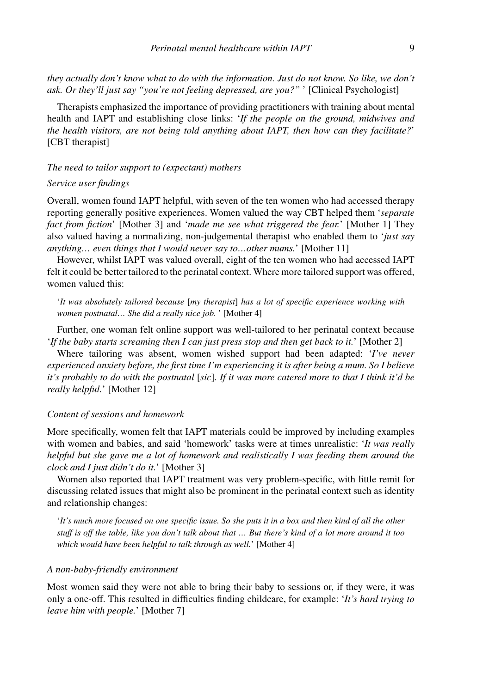*they actually don't know what to do with the information. Just do not know. So like, we don't ask. Or they'll just say "you're not feeling depressed, are you?"* ' [Clinical Psychologist]

Therapists emphasized the importance of providing practitioners with training about mental health and IAPT and establishing close links: '*If the people on the ground, midwives and the health visitors, are not being told anything about IAPT, then how can they facilitate?*' [CBT therapist]

#### *The need to tailor support to (expectant) mothers*

#### *Service user findings*

Overall, women found IAPT helpful, with seven of the ten women who had accessed therapy reporting generally positive experiences. Women valued the way CBT helped them '*separate fact from fiction*' [Mother 3] and '*made me see what triggered the fear.*' [Mother 1] They also valued having a normalizing, non-judgemental therapist who enabled them to '*just say anything… even things that I would never say to…other mums.*' [Mother 11]

However, whilst IAPT was valued overall, eight of the ten women who had accessed IAPT felt it could be better tailored to the perinatal context. Where more tailored support was offered, women valued this:

'*It was absolutely tailored because* [*my therapist*] *has a lot of specific experience working with women postnatal… She did a really nice job.* ' [Mother 4]

Further, one woman felt online support was well-tailored to her perinatal context because '*If the baby starts screaming then I can just press stop and then get back to it.*' [Mother 2]

Where tailoring was absent, women wished support had been adapted: '*I've never experienced anxiety before, the first time I'm experiencing it is after being a mum. So I believe it's probably to do with the postnatal* [*sic*]*. If it was more catered more to that I think it'd be really helpful.*' [Mother 12]

### *Content of sessions and homework*

More specifically, women felt that IAPT materials could be improved by including examples with women and babies, and said 'homework' tasks were at times unrealistic: '*It was really helpful but she gave me a lot of homework and realistically I was feeding them around the clock and I just didn't do it.*' [Mother 3]

Women also reported that IAPT treatment was very problem-specific, with little remit for discussing related issues that might also be prominent in the perinatal context such as identity and relationship changes:

'*It's much more focused on one specific issue. So she puts it in a box and then kind of all the other stuff is off the table, like you don't talk about that … But there's kind of a lot more around it too which would have been helpful to talk through as well.*' [Mother 4]

### *A non-baby-friendly environment*

Most women said they were not able to bring their baby to sessions or, if they were, it was only a one-off. This resulted in difficulties finding childcare, for example: '*It's hard trying to leave him with people.*' [Mother 7]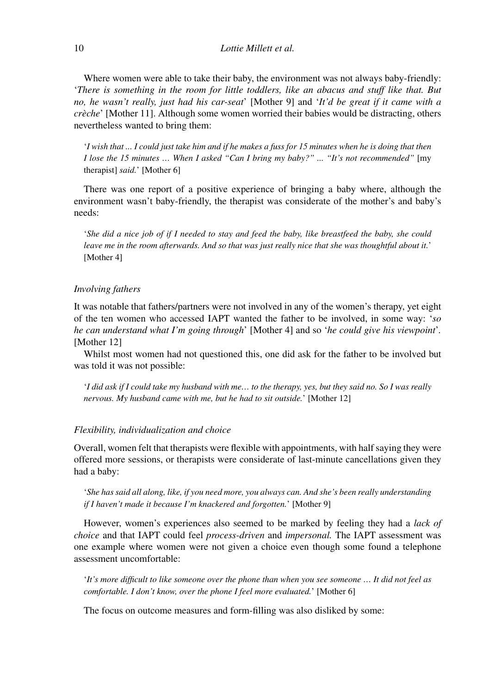Where women were able to take their baby, the environment was not always baby-friendly: '*There is something in the room for little toddlers, like an abacus and stuff like that. But no, he wasn't really, just had his car-seat*' [Mother 9] and '*It'd be great if it came with a crèche*' [Mother 11]. Although some women worried their babies would be distracting, others nevertheless wanted to bring them:

'*I wish that ... I could just take him and if he makes a fuss for 15 minutes when he is doing that then I lose the 15 minutes … When I asked "Can I bring my baby?" ... "It's not recommended"* [my therapist] *said.*' [Mother 6]

There was one report of a positive experience of bringing a baby where, although the environment wasn't baby-friendly, the therapist was considerate of the mother's and baby's needs:

'*She did a nice job of if I needed to stay and feed the baby, like breastfeed the baby, she could leave me in the room afterwards. And so that was just really nice that she was thoughtful about it.*' [Mother 4]

### *Involving fathers*

It was notable that fathers/partners were not involved in any of the women's therapy, yet eight of the ten women who accessed IAPT wanted the father to be involved, in some way: '*so he can understand what I'm going through*' [Mother 4] and so '*he could give his viewpoint*'*.* [Mother 12]

Whilst most women had not questioned this, one did ask for the father to be involved but was told it was not possible:

'*I did ask if I could take my husband with me… to the therapy, yes, but they said no. So I was really nervous. My husband came with me, but he had to sit outside.*' [Mother 12]

#### *Flexibility, individualization and choice*

Overall, women felt that therapists were flexible with appointments, with half saying they were offered more sessions, or therapists were considerate of last-minute cancellations given they had a baby:

'*She has said all along, like, if you need more, you always can. And she's been really understanding if I haven't made it because I'm knackered and forgotten.*' [Mother 9]

However, women's experiences also seemed to be marked by feeling they had a *lack of choice* and that IAPT could feel *process-driven* and *impersonal.* The IAPT assessment was one example where women were not given a choice even though some found a telephone assessment uncomfortable:

'*It's more difficult to like someone over the phone than when you see someone … It did not feel as comfortable. I don't know, over the phone I feel more evaluated.*' [Mother 6]

The focus on outcome measures and form-filling was also disliked by some: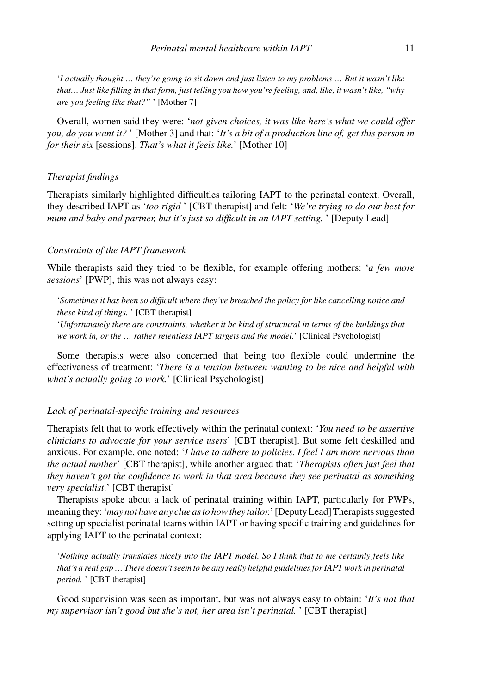'*I actually thought … they're going to sit down and just listen to my problems … But it wasn't like that… Just like filling in that form, just telling you how you're feeling, and, like, it wasn't like, "why are you feeling like that?"* ' [Mother 7]

Overall, women said they were: '*not given choices, it was like here's what we could offer you, do you want it?* ' [Mother 3] and that: '*It's a bit of a production line of, get this person in for their six* [sessions]. *That's what it feels like.*' [Mother 10]

# *Therapist findings*

Therapists similarly highlighted difficulties tailoring IAPT to the perinatal context. Overall, they described IAPT as '*too rigid* ' [CBT therapist] and felt: '*We're trying to do our best for mum and baby and partner, but it's just so difficult in an IAPT setting.* ' [Deputy Lead]

# *Constraints of the IAPT framework*

While therapists said they tried to be flexible, for example offering mothers: '*a few more sessions*' [PWP], this was not always easy:

'*Sometimes it has been so difficult where they've breached the policy for like cancelling notice and these kind of things.* ' [CBT therapist]

'*Unfortunately there are constraints, whether it be kind of structural in terms of the buildings that we work in, or the … rather relentless IAPT targets and the model.*' [Clinical Psychologist]

Some therapists were also concerned that being too flexible could undermine the effectiveness of treatment: '*There is a tension between wanting to be nice and helpful with what's actually going to work.*' [Clinical Psychologist]

#### *Lack of perinatal-specific training and resources*

Therapists felt that to work effectively within the perinatal context: '*You need to be assertive clinicians to advocate for your service users*' [CBT therapist]. But some felt deskilled and anxious. For example, one noted: '*I have to adhere to policies. I feel I am more nervous than the actual mother*' [CBT therapist], while another argued that: '*Therapists often just feel that they haven't got the confidence to work in that area because they see perinatal as something very specialist*.' [CBT therapist]

Therapists spoke about a lack of perinatal training within IAPT, particularly for PWPs, meaning they: '*may not have any clue as to how they tailor.*' [Deputy Lead] Therapists suggested setting up specialist perinatal teams within IAPT or having specific training and guidelines for applying IAPT to the perinatal context:

'*Nothing actually translates nicely into the IAPT model. So I think that to me certainly feels like that's a real gap … There doesn't seem to be any really helpful guidelines for IAPT work in perinatal period.* ' [CBT therapist]

Good supervision was seen as important, but was not always easy to obtain: '*It's not that my supervisor isn't good but she's not, her area isn't perinatal.* ' [CBT therapist]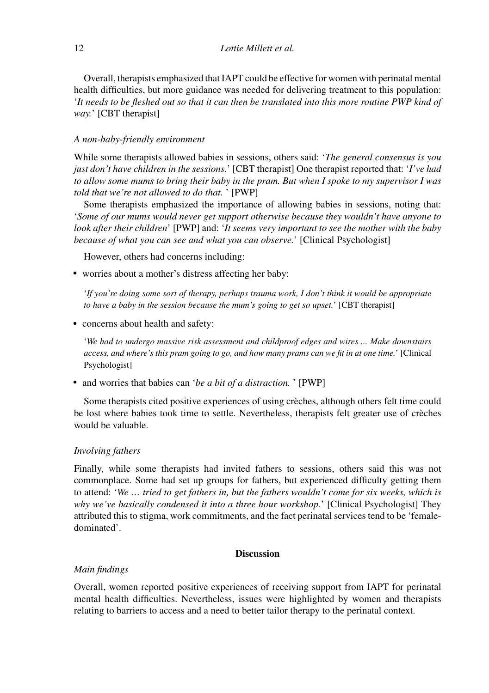Overall, therapists emphasized that IAPT could be effective for women with perinatal mental health difficulties, but more guidance was needed for delivering treatment to this population: '*It needs to be fleshed out so that it can then be translated into this more routine PWP kind of way.*' [CBT therapist]

# *A non-baby-friendly environment*

While some therapists allowed babies in sessions, others said: '*The general consensus is you just don't have children in the sessions.*' [CBT therapist] One therapist reported that: '*I've had to allow some mums to bring their baby in the pram. But when I spoke to my supervisor I was told that we're not allowed to do that.* ' [PWP]

Some therapists emphasized the importance of allowing babies in sessions, noting that: '*Some of our mums would never get support otherwise because they wouldn't have anyone to look after their children*' [PWP] and: '*It seems very important to see the mother with the baby because of what you can see and what you can observe.*' [Clinical Psychologist]

However, others had concerns including:

- worries about a mother's distress affecting her baby:

'*If you're doing some sort of therapy, perhaps trauma work, I don't think it would be appropriate to have a baby in the session because the mum's going to get so upset.*' [CBT therapist]

- concerns about health and safety:

'*We had to undergo massive risk assessment and childproof edges and wires ... Make downstairs access, and where's this pram going to go, and how many prams can we fit in at one time.*' [Clinical Psychologist]

- and worries that babies can '*be a bit of a distraction.* ' [PWP]

Some therapists cited positive experiences of using crèches, although others felt time could be lost where babies took time to settle. Nevertheless, therapists felt greater use of crèches would be valuable.

# *Involving fathers*

Finally, while some therapists had invited fathers to sessions, others said this was not commonplace. Some had set up groups for fathers, but experienced difficulty getting them to attend: '*We … tried to get fathers in, but the fathers wouldn't come for six weeks, which is why we've basically condensed it into a three hour workshop.*' [Clinical Psychologist] They attributed this to stigma, work commitments, and the fact perinatal services tend to be 'femaledominated'.

# **Discussion**

# *Main findings*

Overall, women reported positive experiences of receiving support from IAPT for perinatal mental health difficulties. Nevertheless, issues were highlighted by women and therapists relating to barriers to access and a need to better tailor therapy to the perinatal context.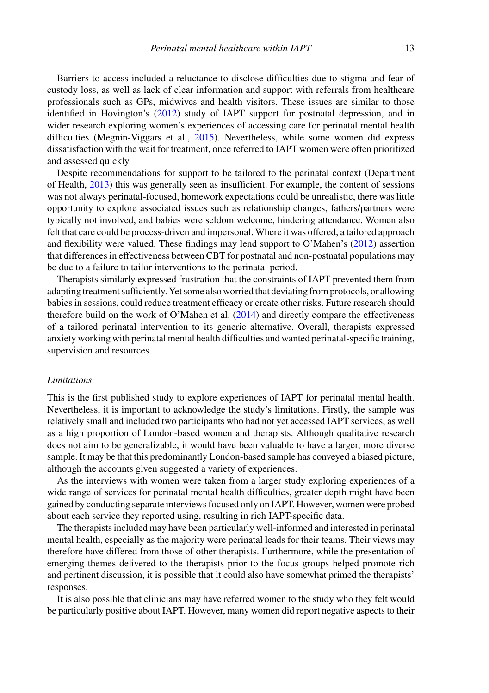Barriers to access included a reluctance to disclose difficulties due to stigma and fear of custody loss, as well as lack of clear information and support with referrals from healthcare professionals such as GPs, midwives and health visitors. These issues are similar to those identified in Hovington's (2012) study of IAPT support for postnatal depression, and in wider research exploring women's experiences of accessing care for perinatal mental health difficulties (Megnin-Viggars et al., [2015\)](#page-14-0). Nevertheless, while some women did express dissatisfaction with the wait for treatment, once referred to IAPT women were often prioritized and assessed quickly.

Despite recommendations for support to be tailored to the perinatal context (Department of Health, [2013\)](#page-14-0) this was generally seen as insufficient. For example, the content of sessions was not always perinatal-focused, homework expectations could be unrealistic, there was little opportunity to explore associated issues such as relationship changes, fathers/partners were typically not involved, and babies were seldom welcome, hindering attendance. Women also felt that care could be process-driven and impersonal. Where it was offered, a tailored approach and flexibility were valued. These findings may lend support to O'Mahen's [\(2012\)](#page-15-0) assertion that differences in effectiveness between CBT for postnatal and non-postnatal populations may be due to a failure to tailor interventions to the perinatal period.

Therapists similarly expressed frustration that the constraints of IAPT prevented them from adapting treatment sufficiently. Yet some also worried that deviating from protocols, or allowing babies in sessions, could reduce treatment efficacy or create other risks. Future research should therefore build on the work of O'Mahen et al.  $(2014)$  and directly compare the effectiveness of a tailored perinatal intervention to its generic alternative. Overall, therapists expressed anxiety working with perinatal mental health difficulties and wanted perinatal-specific training, supervision and resources.

# *Limitations*

This is the first published study to explore experiences of IAPT for perinatal mental health. Nevertheless, it is important to acknowledge the study's limitations. Firstly, the sample was relatively small and included two participants who had not yet accessed IAPT services, as well as a high proportion of London-based women and therapists. Although qualitative research does not aim to be generalizable, it would have been valuable to have a larger, more diverse sample. It may be that this predominantly London-based sample has conveyed a biased picture, although the accounts given suggested a variety of experiences.

As the interviews with women were taken from a larger study exploring experiences of a wide range of services for perinatal mental health difficulties, greater depth might have been gained by conducting separate interviews focused only on IAPT. However, women were probed about each service they reported using, resulting in rich IAPT-specific data.

The therapists included may have been particularly well-informed and interested in perinatal mental health, especially as the majority were perinatal leads for their teams. Their views may therefore have differed from those of other therapists. Furthermore, while the presentation of emerging themes delivered to the therapists prior to the focus groups helped promote rich and pertinent discussion, it is possible that it could also have somewhat primed the therapists' responses.

It is also possible that clinicians may have referred women to the study who they felt would be particularly positive about IAPT. However, many women did report negative aspects to their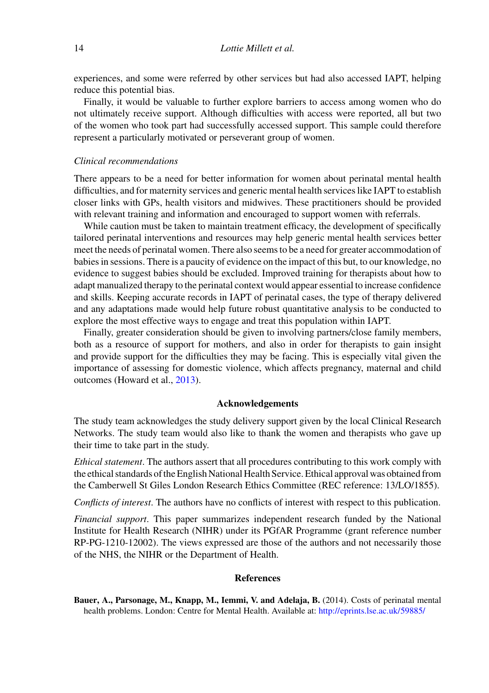<span id="page-13-0"></span>experiences, and some were referred by other services but had also accessed IAPT, helping reduce this potential bias.

Finally, it would be valuable to further explore barriers to access among women who do not ultimately receive support. Although difficulties with access were reported, all but two of the women who took part had successfully accessed support. This sample could therefore represent a particularly motivated or perseverant group of women.

### *Clinical recommendations*

There appears to be a need for better information for women about perinatal mental health difficulties, and for maternity services and generic mental health services like IAPT to establish closer links with GPs, health visitors and midwives. These practitioners should be provided with relevant training and information and encouraged to support women with referrals.

While caution must be taken to maintain treatment efficacy, the development of specifically tailored perinatal interventions and resources may help generic mental health services better meet the needs of perinatal women. There also seems to be a need for greater accommodation of babies in sessions. There is a paucity of evidence on the impact of this but, to our knowledge, no evidence to suggest babies should be excluded. Improved training for therapists about how to adapt manualized therapy to the perinatal context would appear essential to increase confidence and skills. Keeping accurate records in IAPT of perinatal cases, the type of therapy delivered and any adaptations made would help future robust quantitative analysis to be conducted to explore the most effective ways to engage and treat this population within IAPT.

Finally, greater consideration should be given to involving partners/close family members, both as a resource of support for mothers, and also in order for therapists to gain insight and provide support for the difficulties they may be facing. This is especially vital given the importance of assessing for domestic violence, which affects pregnancy, maternal and child outcomes (Howard et al., [2013\)](#page-14-0).

### **Acknowledgements**

The study team acknowledges the study delivery support given by the local Clinical Research Networks. The study team would also like to thank the women and therapists who gave up their time to take part in the study.

*Ethical statement*. The authors assert that all procedures contributing to this work comply with the ethical standards of the English National Health Service. Ethical approval was obtained from the Camberwell St Giles London Research Ethics Committee (REC reference: 13/LO/1855).

*Conflicts of interest*. The authors have no conflicts of interest with respect to this publication.

*Financial support*. This paper summarizes independent research funded by the National Institute for Health Research (NIHR) under its PGfAR Programme (grant reference number RP-PG-1210-12002). The views expressed are those of the authors and not necessarily those of the NHS, the NIHR or the Department of Health.

# **References**

**Bauer, A., Parsonage, M., Knapp, M., Iemmi, V. and Adelaja, B.** (2014). Costs of perinatal mental health problems. London: Centre for Mental Health. Available at: <http://eprints.lse.ac.uk/59885/>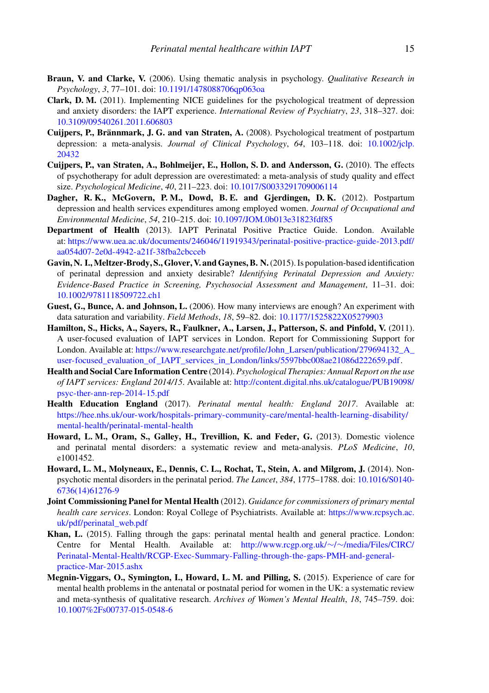- <span id="page-14-0"></span>**Braun, V. and Clarke, V.** (2006). Using thematic analysis in psychology. *Qualitative Research in Psychology*, *3*, 77–101. doi: [10.1191/1478088706qp063oa](https://doi.org/10.1191/1478088706qp063oa)
- **Clark, D. M.** (2011). Implementing NICE guidelines for the psychological treatment of depression and anxiety disorders: the IAPT experience. *International Review of Psychiatry*, *23*, 318–327. doi: [10.3109/09540261.2011.606803](https://doi.org/10.3109/09540261.2011.606803)
- **Cuijpers, P., Brännmark, J. G. and van Straten, A.** (2008). Psychological treatment of postpartum depression: a meta-analysis. *[Journal of Clinical Psychology](https://doi.org/10.1002/jclp.&break;20432)*, *64*, 103–118. doi: 10.1002/jclp. 20432
- **Cuijpers, P., van Straten, A., Bohlmeijer, E., Hollon, S. D. and Andersson, G.** (2010). The effects of psychotherapy for adult depression are overestimated: a meta-analysis of study quality and effect size. *Psychological Medicine*, *40*, 211–223. doi: [10.1017/S0033291709006114](https://doi.org/10.1017/S0033291709006114)
- **Dagher, R. K., McGovern, P. M., Dowd, B. E. and Gjerdingen, D. K.** (2012). Postpartum depression and health services expenditures among employed women. *Journal of Occupational and Environmental Medicine*, *54*, 210–215. doi: [10.1097/JOM.0b013e31823fdf85](https://doi.org/10.1097/JOM.0b013e31823fdf85)
- **Department of Health** (2013). IAPT Perinatal Positive Practice Guide. London. Available at: [https://www.uea.ac.uk/documents/246046/11919343/perinatal-positive-practice-guide-2013.pdf/](https://www.uea.ac.uk/documents/246046/11919343/perinatal-positive-practice-guide-2013.pdf/aa054d07-2e0d-4942-a21f-38fba2cbcceb) aa054d07-2e0d-4942-a21f-38fba2cbcceb
- **Gavin, N. I.,Meltzer-Brody, S., Glover, V. and Gaynes, B. N.**(2015). Is population-based identification of perinatal depression and anxiety desirable? *Identifying Perinatal Depression and Anxiety: Evidence-Based Practice in Screening, Psychosocial Assessment and Management*, 11–31. doi: [10.1002/9781118509722.ch1](https://doi.org/10.1002/9781118509722.ch1)
- **Guest, G., Bunce, A. and Johnson, L.** (2006). How many interviews are enough? An experiment with data saturation and variability. *Field Methods*, *18*, 59–82. doi: [10.1177/1525822X05279903](https://doi.org/10.1177/1525822X05279903)
- **Hamilton, S., Hicks, A., Sayers, R., Faulkner, A., Larsen, J., Patterson, S. and Pinfold, V.** (2011). A user-focused evaluation of IAPT services in London. Report for Commissioning Support for London. Available at: https://www.researchgate.net/profile/John\_Larsen/publication/279694132\_A\_ [user-focused\\_evaluation\\_of\\_IAPT\\_services\\_in\\_London/links/5597bbc008ae21086d222659.pdf.](https://www.researchgate.net/profile/John_Larsen/publication/279694132_A_user-focused_evaluation_of_IAPT_services_in_London/links/5597bbc008ae21086d222659.pdf)
- **Health and Social Care Information Centre** (2014). *Psychological Therapies: Annual Report on the use of IAPT services: England 2014/15*. Available at: [http://content.digital.nhs.uk/catalogue/PUB19098/](http://content.digital.nhs.uk/catalogue/PUB19098/psyc-ther-ann-rep-2014-15.pdf) psyc-ther-ann-rep-2014-15.pdf
- **Health Education England** (2017). *Perinatal mental health: England 2017*. Available at: [https://hee.nhs.uk/our-work/hospitals-primary-community-care/mental-health-learning-disability/](https://hee.nhs.uk/our-work/hospitals-primary-community-care/mental-health-learning-disability/mental-health/perinatal-mental-health) mental-health/perinatal-mental-health
- **Howard, L. M., Oram, S., Galley, H., Trevillion, K. and Feder, G.** (2013). Domestic violence and perinatal mental disorders: a systematic review and meta-analysis. *PLoS Medicine*, *10*, e1001452.
- **Howard, L. M., Molyneaux, E., Dennis, C. L., Rochat, T., Stein, A. and Milgrom, J.** (2014). Non[psychotic mental disorders in the perinatal period.](https://doi.org/10.1016/S0140-6736(14)61276-9) *The Lancet*, *384*, 1775–1788. doi: 10.1016/S0140- 6736(14)61276-9
- **Joint Commissioning Panel for Mental Health** (2012). *Guidance for commissioners of primary mental health care services*[. London: Royal College of Psychiatrists. Available at:](https://www.rcpsych.ac.uk/pdf/perinatal_web.pdf) https://www.rcpsych.ac. uk/pdf/perinatal\_web.pdf
- **Khan, L.** (2015). Falling through the gaps: perinatal mental health and general practice. London: Centre for Mental Health. Available at: http://www.rcgp.org.uk/∼/∼/media/Files/CIRC/ [Perinatal-Mental-Health/RCGP-Exec-Summary-Falling-through-the-gaps-PMH-and-general](http://www.rcgp.org.uk/{char )practice-Mar-2015.ashx
- **Megnin-Viggars, O., Symington, I., Howard, L. M. and Pilling, S.** (2015). Experience of care for mental health problems in the antenatal or postnatal period for women in the UK: a systematic review and meta-synthesis of qualitative research. *Archives of Women's Mental Health*, *18*, 745–759. doi: [10.1007%2Fs00737-015-0548-6](https://doi.org/10.1007%2Fs00737-015-0548-6)